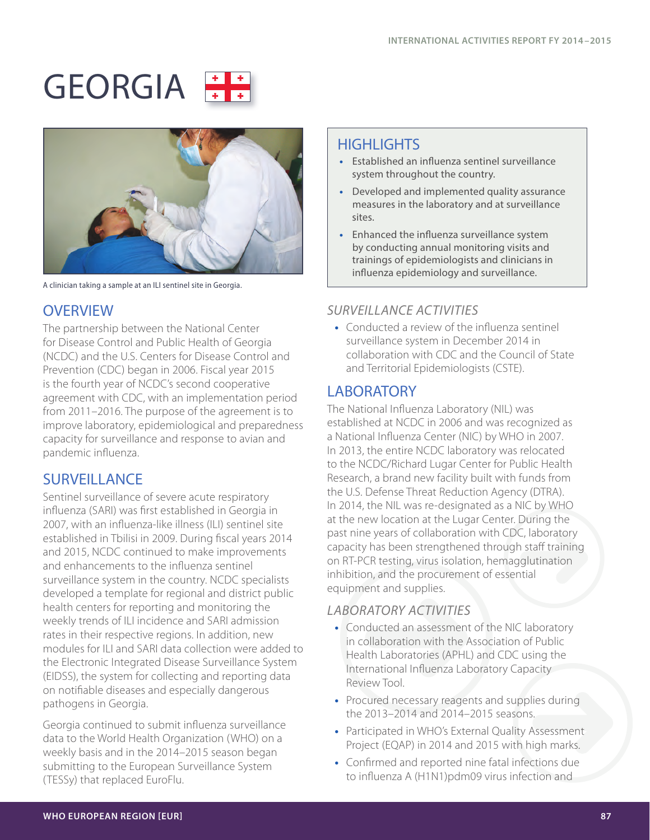# GEORGIA





A clinician taking a sample at an ILI sentinel site in Georgia.

# **OVERVIEW**

The partnership between the National Center for Disease Control and Public Health of Georgia (NCDC) and the U.S. Centers for Disease Control and Prevention (CDC) began in 2006. Fiscal year 2015 is the fourth year of NCDC's second cooperative agreement with CDC, with an implementation period from 2011–2016. The purpose of the agreement is to improve laboratory, epidemiological and preparedness capacity for surveillance and response to avian and pandemic influenza.

# **SURVEILLANCE**

Sentinel surveillance of severe acute respiratory influenza (SARI) was first established in Georgia in 2007, with an influenza-like illness (ILI) sentinel site established in Tbilisi in 2009. During fiscal years 2014 and 2015, NCDC continued to make improvements and enhancements to the influenza sentinel surveillance system in the country. NCDC specialists developed a template for regional and district public health centers for reporting and monitoring the weekly trends of ILI incidence and SARI admission rates in their respective regions. In addition, new modules for ILI and SARI data collection were added to the Electronic Integrated Disease Surveillance System (EIDSS), the system for collecting and reporting data on notifiable diseases and especially dangerous pathogens in Georgia.

Georgia continued to submit influenza surveillance data to the World Health Organization (WHO) on a weekly basis and in the 2014–2015 season began submitting to the European Surveillance System (TESSy) that replaced EuroFlu.

# HIGHI IGHTS

- **•** Established an influenza sentinel surveillance system throughout the country.
- **•** Developed and implemented quality assurance measures in the laboratory and at surveillance sites.
- **•** Enhanced the influenza surveillance system by conducting annual monitoring visits and trainings of epidemiologists and clinicians in influenza epidemiology and surveillance.

#### *SURVEILLANCE ACTIVITIES*

**•** Conducted a review of the influenza sentinel surveillance system in December 2014 in collaboration with CDC and the Council of State and Territorial Epidemiologists (CSTE).

# **LABORATORY**

The National Influenza Laboratory (NIL) was established at NCDC in 2006 and was recognized as a National Influenza Center (NIC) by WHO in 2007. In 2013, the entire NCDC laboratory was relocated to the NCDC/Richard Lugar Center for Public Health Research, a brand new facility built with funds from the U.S. Defense Threat Reduction Agency (DTRA). In 2014, the NIL was re-designated as a NIC by WHO at the new location at the Lugar Center. During the past nine years of collaboration with CDC, laboratory capacity has been strengthened through staff training on RT-PCR testing, virus isolation, hemagglutination inhibition, and the procurement of essential equipment and supplies.

### *LABORATORY ACTIVITIES*

- **•** Conducted an assessment of the NIC laboratory in collaboration with the Association of Public Health Laboratories (APHL) and CDC using the International Influenza Laboratory Capacity Review Tool.
- **•** Procured necessary reagents and supplies during the 2013–2014 and 2014–2015 seasons.
- **•** Participated in WHO's External Quality Assessment Project (EQAP) in 2014 and 2015 with high marks.
- **•** Confirmed and reported nine fatal infections due to influenza A (H1N1)pdm09 virus infection and